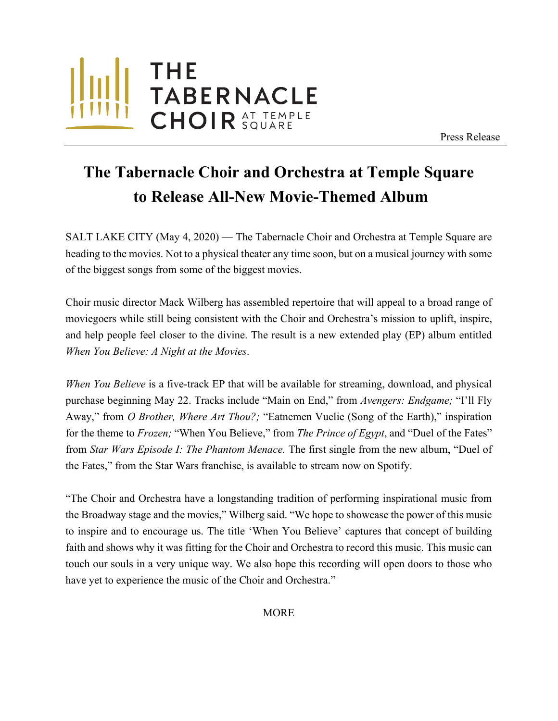

Press Release

## **The Tabernacle Choir and Orchestra at Temple Square to Release All-New Movie-Themed Album**

**Right-click and select "Change Picture… from the menu. Select** 

SALT LAKE CITY (May 4, 2020) — The Tabernacle Choir and Orchestra at Temple Square are heading to the movies. Not to a physical theater any time soon, but on a musical journey with some of the biggest songs from some of the biggest movies.

Choir music director Mack Wilberg has assembled repertoire that will appeal to a broad range of moviegoers while still being consistent with the Choir and Orchestra's mission to uplift, inspire, and help people feel closer to the divine. The result is a new extended play (EP) album entitled *When You Believe: A Night at the Movies*.

*When You Believe* is a five-track EP that will be available for streaming, download, and physical purchase beginning May 22. Tracks include "Main on End," from *Avengers: Endgame;* "I'll Fly Away," from *O Brother, Where Art Thou?;* "Eatnemen Vuelie (Song of the Earth)," inspiration for the theme to *Frozen;* "When You Believe," from *The Prince of Egypt*, and "Duel of the Fates" from *Star Wars Episode I: The Phantom Menace.* The first single from the new album, "Duel of the Fates," from the Star Wars franchise, is available to stream now on Spotify.

"The Choir and Orchestra have a longstanding tradition of performing inspirational music from the Broadway stage and the movies," Wilberg said. "We hope to showcase the power of this music to inspire and to encourage us. The title 'When You Believe' captures that concept of building faith and shows why it was fitting for the Choir and Orchestra to record this music. This music can touch our souls in a very unique way. We also hope this recording will open doors to those who have yet to experience the music of the Choir and Orchestra."

MORE